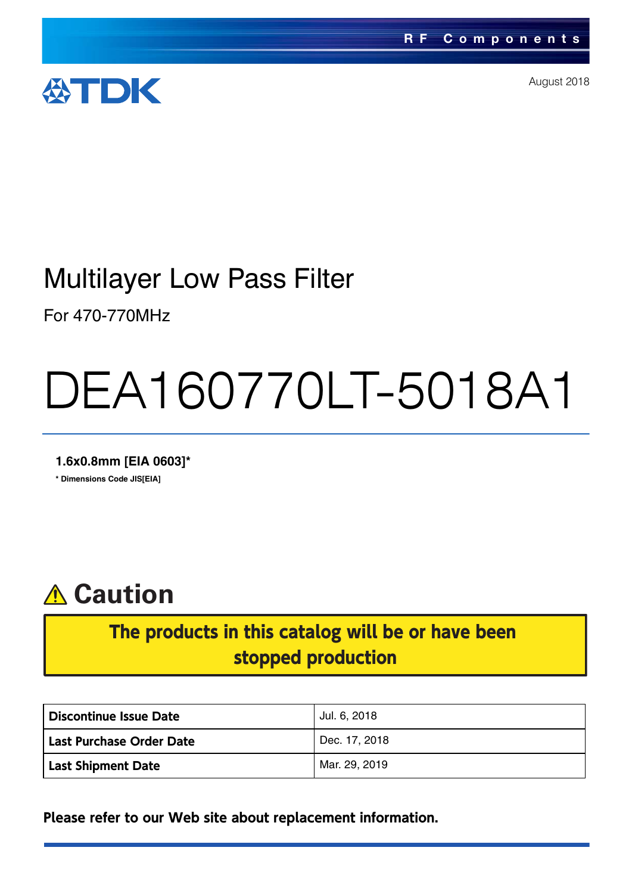

August 2018

## Multilayer Low Pass Filter

For 470-770MHz

# DEA160770LT-5018A1

**1.6x0.8mm [EIA 0603]\***

**\* Dimensions Code JIS[EIA]**



### The products in this catalog will be or have been stopped production

| Discontinue Issue Date    | Jul. 6, 2018  |
|---------------------------|---------------|
| Last Purchase Order Date  | Dec. 17, 2018 |
| <b>Last Shipment Date</b> | Mar. 29, 2019 |

**Please refer to our Web site about replacement information.**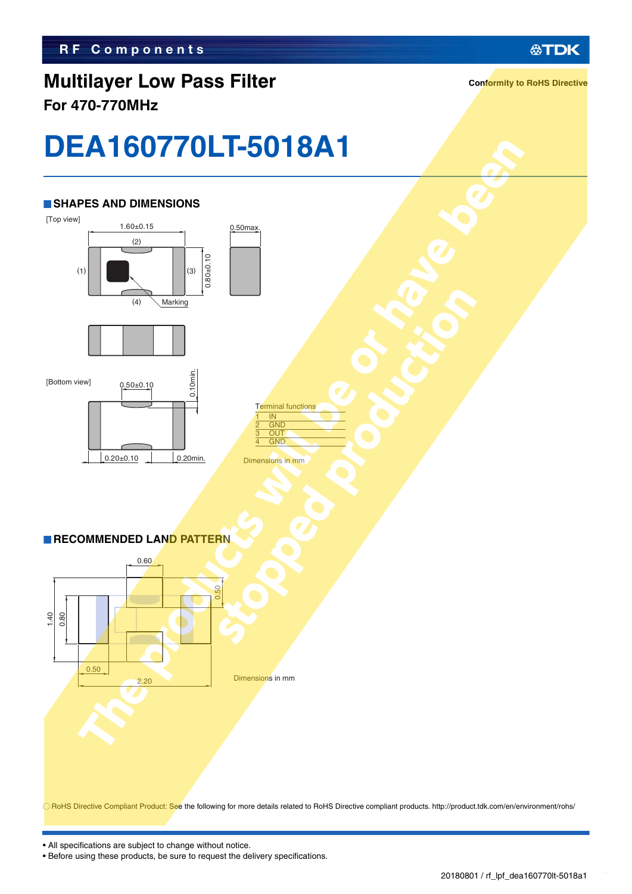### **Multilayer Low Pass Filter For 470-770MHz**

**Conformity to RoHS Directive**

**公TDK** 

# **DEA160770LT-5018A1**

#### **SHAPES AND DIMENSIONS**





Terminal functions  $\overline{1}$  IN **GND**  $\overline{\text{ou}}$  $\overline{GM}$ 

Dimensions in mm

#### **RECOMMENDED LAND PATTERN**

 $0.20 \pm 0.10$  0.20min.



RoHS Directive Compliant Product: See the following for more details related to RoHS Directive compliant products. http://product.tdk.com/en/environment/rohs/

• All specifications are subject to change without notice.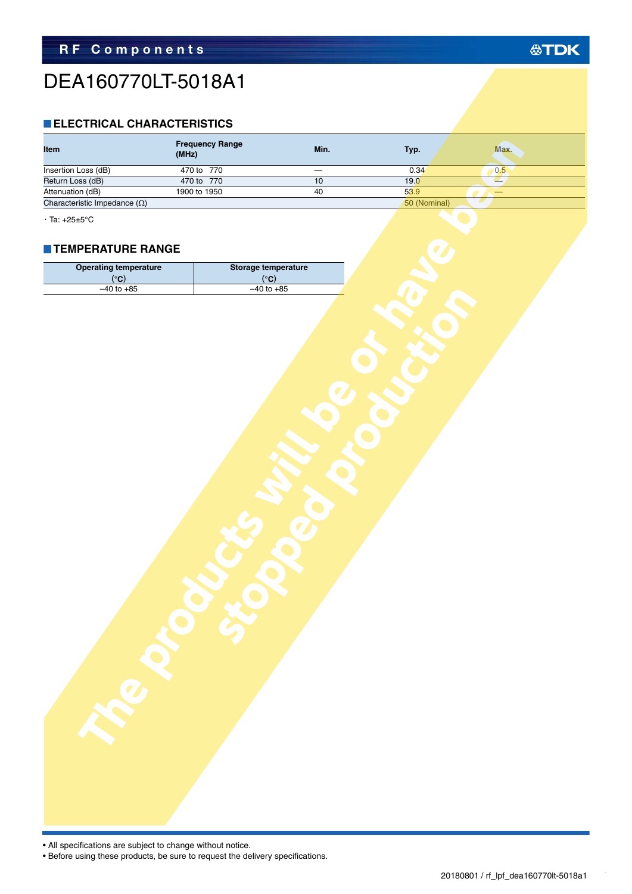### DEA160770LT-5018A1

#### **ELECTRICAL CHARACTERISTICS**

|                                                 | <b>Frequency Range</b><br>(MHz) | Min.                | Typ.         | Max.       |  |
|-------------------------------------------------|---------------------------------|---------------------|--------------|------------|--|
| Insertion Loss (dB)                             | 470 to 770                      |                     | 0.34         | 0.5        |  |
| Return Loss (dB)                                | 470 to 770                      | 10                  | 19.0         | <i>■</i> . |  |
| Attenuation (dB)                                | 1900 to 1950                    | 40                  | 53.9         | —          |  |
| Characteristic Impedance $(\Omega)$             |                                 |                     | 50 (Nominal) |            |  |
| $\cdot$ Ta: +25±5°C<br><b>TEMPERATURE RANGE</b> |                                 |                     |              |            |  |
| <b>Operating temperature</b>                    |                                 | Storage temperature |              |            |  |
| (°C)                                            |                                 | (°C)                |              |            |  |
| $-40$ to $+85$                                  |                                 | $-40$ to $+85$      |              |            |  |
|                                                 |                                 |                     |              |            |  |

#### **TEMPERATURE RANGE**

| <b>Operating temperature</b>              | Storage temperature                       |  |
|-------------------------------------------|-------------------------------------------|--|
|                                           |                                           |  |
|                                           |                                           |  |
| $\frac{(^{\circ}C)}{-40 \text{ to } +85}$ | $\frac{(^{\circ}C)}{-40 \text{ to } +85}$ |  |
|                                           |                                           |  |

• All specifications are subject to change without notice.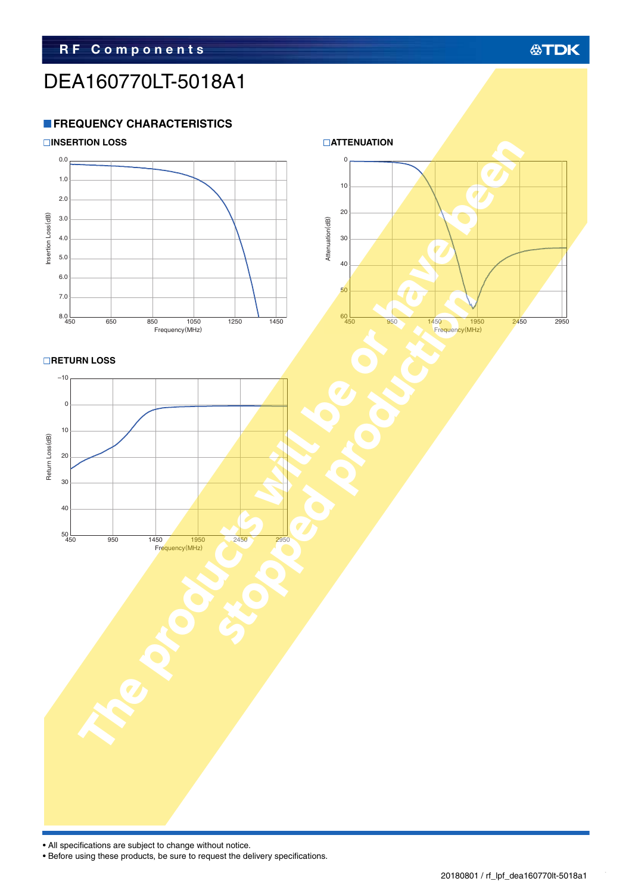### DEA160770LT-5018A1

#### **FREQUENCY CHARACTERISTICS**



• All specifications are subject to change without notice.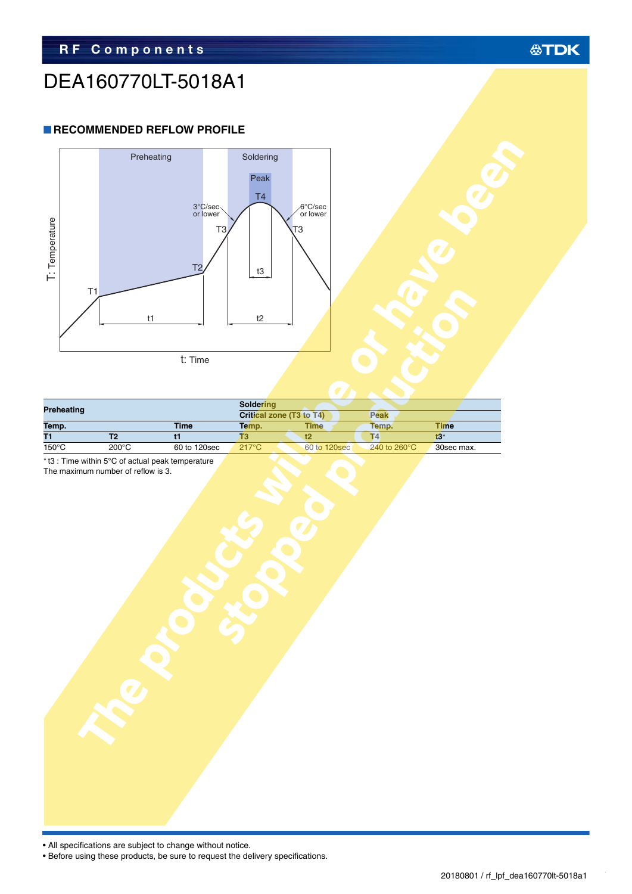#### **公TDK**

### DEA160770LT-5018A1

#### **RECOMMENDED REFLOW PROFILE**



| Preheating      |                 | <b>Soldering</b> |                          |              |                         |            |  |
|-----------------|-----------------|------------------|--------------------------|--------------|-------------------------|------------|--|
|                 |                 |                  | Critical zone (T3 to T4) |              | Peak                    |            |  |
| Temp.           |                 | Time             | Temp.                    | <b>Time</b>  | Temp.                   | Time       |  |
| T1              |                 |                  |                          |              | Τ4                      | t3*        |  |
| $150^{\circ}$ C | $200^{\circ}$ C | 60 to 120sec     | $217^{\circ}$ C          | 60 to 120sec | 240 to 260 $^{\circ}$ C | 30sec max. |  |

The maximum number of reflow is 3.



| I: Iemperature | T1        | Preheating<br>t1         | 3°C/sec<br>T <sub>3</sub><br>T <sub>2</sub><br>t: Time | Soldering<br>Peak<br>T <sub>4</sub><br>t3<br>$t2$ | 6°C/sec<br>or lower<br>T3     |                         |                           |  |
|----------------|-----------|--------------------------|--------------------------------------------------------|---------------------------------------------------|-------------------------------|-------------------------|---------------------------|--|
|                |           |                          |                                                        | Soldering                                         |                               |                         |                           |  |
|                | reheating |                          |                                                        | Critical zone (T3 to T4)                          |                               | Peak                    |                           |  |
| emp.           |           | $\overline{\mathsf{T2}}$ | <b>Time</b><br>$\overline{t}$                          | Temp.<br>$\overline{T3}$                          | <b>Time</b><br>$\overline{t}$ | Temp.<br>T <sub>4</sub> | Time<br>$\overline{13^*}$ |  |
| $50^{\circ}$ C |           | $200^{\circ}$ C          | 60 to 120sec                                           | $217^{\circ}$ C                                   | 60 to 120sec                  | 240 to 260°C            | 30sec max.                |  |
|                |           |                          |                                                        |                                                   |                               |                         |                           |  |

• All specifications are subject to change without notice.

ŕ